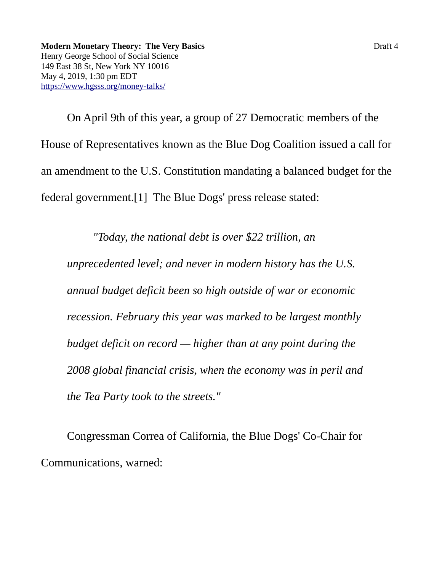On April 9th of this year, a group of 27 Democratic members of the House of Representatives known as the Blue Dog Coalition issued a call for an amendment to the U.S. Constitution mandating a balanced budget for the federal government.[1] The Blue Dogs' press release stated:

*"Today, the national debt is over \$22 trillion, an unprecedented level; and never in modern history has the U.S. annual budget deficit been so high outside of war or economic recession. February this year was marked to be largest monthly budget deficit on record — higher than at any point during the 2008 global financial crisis, when the economy was in peril and the Tea Party took to the streets."*

Congressman Correa of California, the Blue Dogs' Co-Chair for Communications, warned: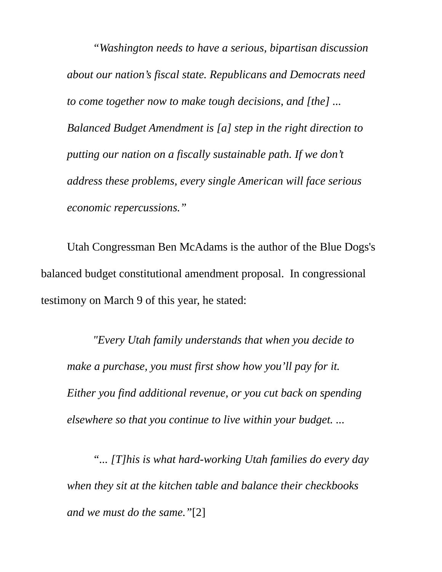*"Washington needs to have a serious, bipartisan discussion about our nation's fiscal state. Republicans and Democrats need to come together now to make tough decisions, and [the] ... Balanced Budget Amendment is [a] step in the right direction to putting our nation on a fiscally sustainable path. If we don't address these problems, every single American will face serious economic repercussions."*

Utah Congressman Ben McAdams is the author of the Blue Dogs's balanced budget constitutional amendment proposal. In congressional testimony on March 9 of this year, he stated:

*"Every Utah family understands that when you decide to make a purchase, you must first show how you'll pay for it. Either you find additional revenue, or you cut back on spending elsewhere so that you continue to live within your budget. ...*

*"... [T]his is what hard-working Utah families do every day when they sit at the kitchen table and balance their checkbooks and we must do the same."*[2]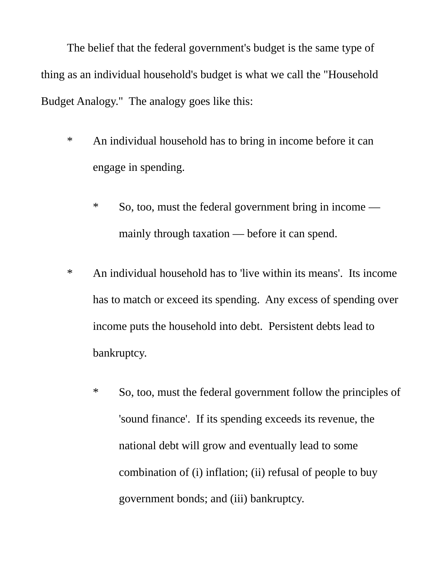The belief that the federal government's budget is the same type of thing as an individual household's budget is what we call the "Household Budget Analogy." The analogy goes like this:

- \* An individual household has to bring in income before it can engage in spending.
	- \* So, too, must the federal government bring in income mainly through taxation — before it can spend.
- \* An individual household has to 'live within its means'. Its income has to match or exceed its spending. Any excess of spending over income puts the household into debt. Persistent debts lead to bankruptcy.
	- \* So, too, must the federal government follow the principles of 'sound finance'. If its spending exceeds its revenue, the national debt will grow and eventually lead to some combination of (i) inflation; (ii) refusal of people to buy government bonds; and (iii) bankruptcy.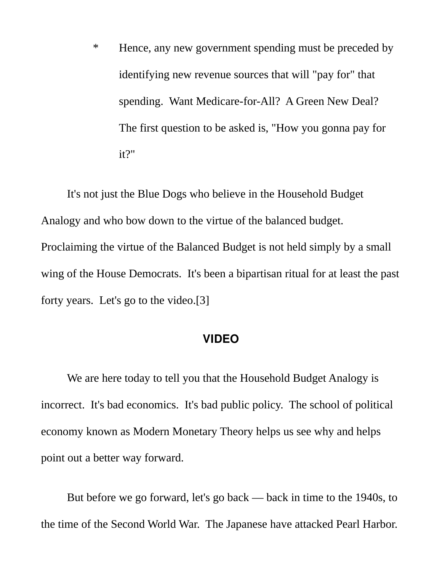\* Hence, any new government spending must be preceded by identifying new revenue sources that will "pay for" that spending. Want Medicare-for-All? A Green New Deal? The first question to be asked is, "How you gonna pay for it?"

It's not just the Blue Dogs who believe in the Household Budget Analogy and who bow down to the virtue of the balanced budget. Proclaiming the virtue of the Balanced Budget is not held simply by a small wing of the House Democrats. It's been a bipartisan ritual for at least the past forty years. Let's go to the video.[3]

## **VIDEO**

We are here today to tell you that the Household Budget Analogy is incorrect. It's bad economics. It's bad public policy. The school of political economy known as Modern Monetary Theory helps us see why and helps point out a better way forward.

But before we go forward, let's go back — back in time to the 1940s, to the time of the Second World War. The Japanese have attacked Pearl Harbor.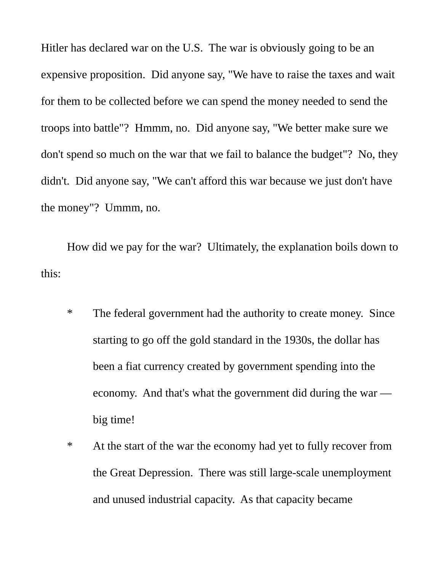Hitler has declared war on the U.S. The war is obviously going to be an expensive proposition. Did anyone say, "We have to raise the taxes and wait for them to be collected before we can spend the money needed to send the troops into battle"? Hmmm, no. Did anyone say, "We better make sure we don't spend so much on the war that we fail to balance the budget"? No, they didn't. Did anyone say, "We can't afford this war because we just don't have the money"? Ummm, no.

How did we pay for the war? Ultimately, the explanation boils down to this:

- \* The federal government had the authority to create money. Since starting to go off the gold standard in the 1930s, the dollar has been a fiat currency created by government spending into the economy. And that's what the government did during the war big time!
- \* At the start of the war the economy had yet to fully recover from the Great Depression. There was still large-scale unemployment and unused industrial capacity. As that capacity became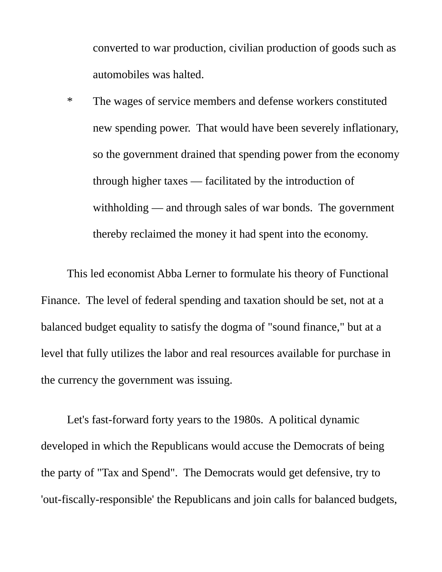converted to war production, civilian production of goods such as automobiles was halted.

\* The wages of service members and defense workers constituted new spending power. That would have been severely inflationary, so the government drained that spending power from the economy through higher taxes — facilitated by the introduction of withholding — and through sales of war bonds. The government thereby reclaimed the money it had spent into the economy.

This led economist Abba Lerner to formulate his theory of Functional Finance. The level of federal spending and taxation should be set, not at a balanced budget equality to satisfy the dogma of "sound finance," but at a level that fully utilizes the labor and real resources available for purchase in the currency the government was issuing.

Let's fast-forward forty years to the 1980s. A political dynamic developed in which the Republicans would accuse the Democrats of being the party of "Tax and Spend". The Democrats would get defensive, try to 'out-fiscally-responsible' the Republicans and join calls for balanced budgets,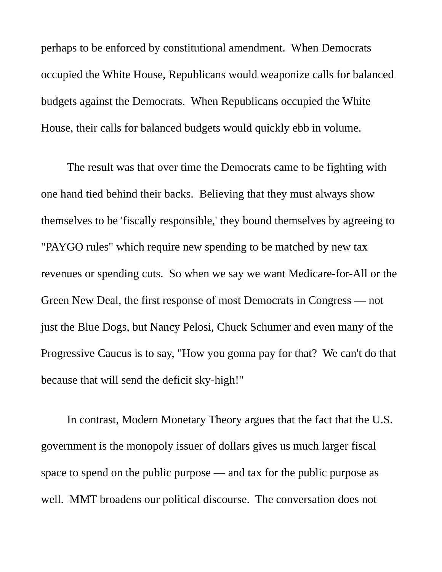perhaps to be enforced by constitutional amendment. When Democrats occupied the White House, Republicans would weaponize calls for balanced budgets against the Democrats. When Republicans occupied the White House, their calls for balanced budgets would quickly ebb in volume.

The result was that over time the Democrats came to be fighting with one hand tied behind their backs. Believing that they must always show themselves to be 'fiscally responsible,' they bound themselves by agreeing to "PAYGO rules" which require new spending to be matched by new tax revenues or spending cuts. So when we say we want Medicare-for-All or the Green New Deal, the first response of most Democrats in Congress — not just the Blue Dogs, but Nancy Pelosi, Chuck Schumer and even many of the Progressive Caucus is to say, "How you gonna pay for that? We can't do that because that will send the deficit sky-high!"

In contrast, Modern Monetary Theory argues that the fact that the U.S. government is the monopoly issuer of dollars gives us much larger fiscal space to spend on the public purpose — and tax for the public purpose as well. MMT broadens our political discourse. The conversation does not